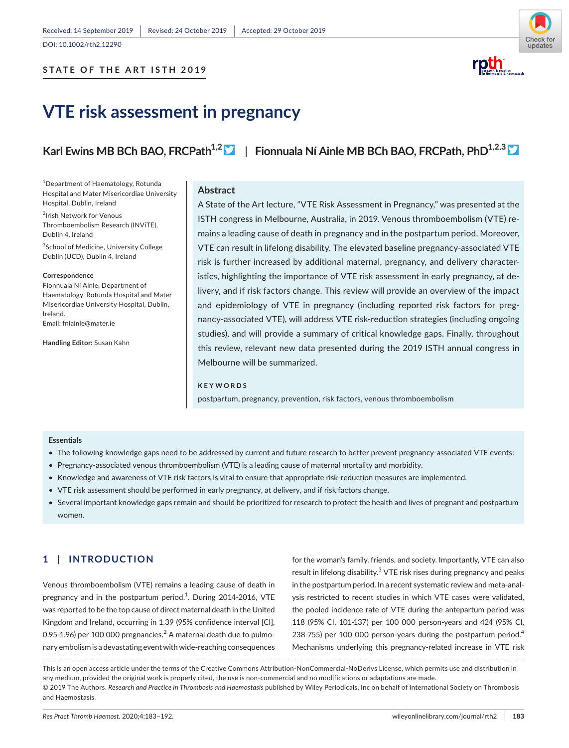DOI: 10.1002/rth2.12290



# **VTE risk assessment in pregnancy**

Karl Ewins MB BCh BAO, FRCPath<sup>1,2</sup> | Fionnuala Ní Ainle MB BCh BAO, FRCPath, PhD<sup>1,2,3</sup>

1 Department of Haematology, Rotunda Hospital and Mater Misericordiae University Hospital, Dublin, Ireland

2 Irish Network for Venous Thromboembolism Research (INViTE), Dublin 4, Ireland

3 School of Medicine, University College Dublin (UCD), Dublin 4, Ireland

#### **Correspondence**

Fionnuala Ní Ainle, Department of Haematology, Rotunda Hospital and Mater Misericordiae University Hospital, Dublin, Ireland. Email: fniainle@mater.ie

**Handling Editor:** Susan Kahn

#### **Abstract**

A State of the Art lecture, "VTE Risk Assessment in Pregnancy," was presented at the ISTH congress in Melbourne, Australia, in 2019. Venous thromboembolism (VTE) remains a leading cause of death in pregnancy and in the postpartum period. Moreover, VTE can result in lifelong disability. The elevated baseline pregnancy-associated VTE risk is further increased by additional maternal, pregnancy, and delivery characteristics, highlighting the importance of VTE risk assessment in early pregnancy, at delivery, and if risk factors change. This review will provide an overview of the impact and epidemiology of VTE in pregnancy (including reported risk factors for pregnancy-associated VTE), will address VTE risk-reduction strategies (including ongoing studies), and will provide a summary of critical knowledge gaps. Finally, throughout this review, relevant new data presented during the 2019 ISTH annual congress in Melbourne will be summarized.

#### **KEYWORDS**

postpartum, pregnancy, prevention, risk factors, venous thromboembolism

#### **Essentials**

- The following knowledge gaps need to be addressed by current and future research to better prevent pregnancy-associated VTE events:
- Pregnancy-associated venous thromboembolism (VTE) is a leading cause of maternal mortality and morbidity.
- Knowledge and awareness of VTE risk factors is vital to ensure that appropriate risk-reduction measures are implemented.
- VTE risk assessment should be performed in early pregnancy, at delivery, and if risk factors change.
- Several important knowledge gaps remain and should be prioritized for research to protect the health and lives of pregnant and postpartum women.

# **1** | **INTRODUCTION**

Venous thromboembolism (VTE) remains a leading cause of death in pregnancy and in the postpartum period. $^1$ . During 2014-2016, VTE was reported to be the top cause of direct maternal death in the United Kingdom and Ireland, occurring in 1.39 (95% confidence interval [CI], 0.95-1.96) per 100 000 pregnancies. $^2$  A maternal death due to pulmonary embolism is a devastating event with wide-reaching consequences for the woman's family, friends, and society. Importantly, VTE can also result in lifelong disability.<sup>3</sup> VTE risk rises during pregnancy and peaks in the postpartum period. In a recent systematic review and meta-analysis restricted to recent studies in which VTE cases were validated, the pooled incidence rate of VTE during the antepartum period was 118 (95% CI, 101-137) per 100 000 person-years and 424 (95% CI, 238-755) per 100 000 person-years during the postpartum period.<sup>4</sup> Mechanisms underlying this pregnancy-related increase in VTE risk

This is an open access article under the terms of the Creative Commons Attribution-NonCommercial-NoDerivs License, which permits use and distribution in any medium, provided the original work is properly cited, the use is non-commercial and no modifications or adaptations are made. © 2019 The Authors. *Research and Practice in Thrombosis and Haemostasis* published by Wiley Periodicals, Inc on behalf of International Society on Thrombosis and Haemostasis.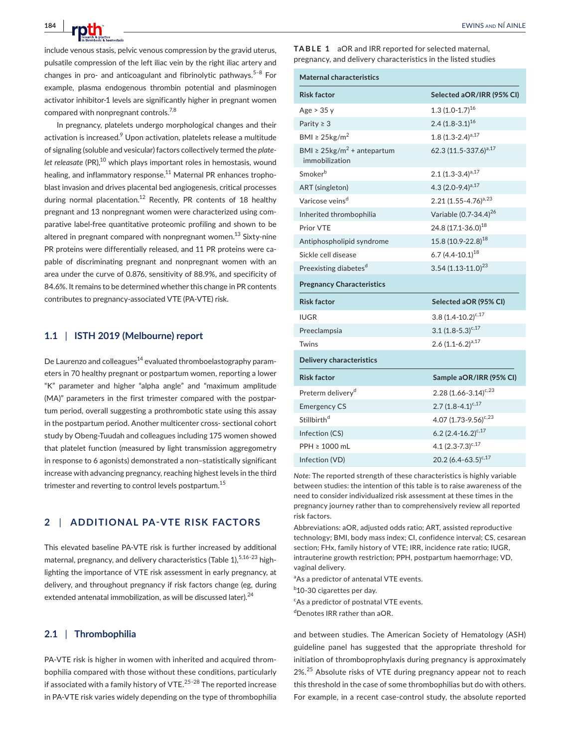include venous stasis, pelvic venous compression by the gravid uterus, pulsatile compression of the left iliac vein by the right iliac artery and changes in pro- and anticoagulant and fibrinolytic pathways.<sup>5-8</sup> For example, plasma endogenous thrombin potential and plasminogen activator inhibitor-1 levels are significantly higher in pregnant women compared with nonpregnant controls.<sup>7,8</sup>

In pregnancy, platelets undergo morphological changes and their activation is increased.<sup>9</sup> Upon activation, platelets release a multitude of signaling (soluble and vesicular) factors collectively termed the *platelet releasate* (PR),<sup>10</sup> which plays important roles in hemostasis, wound healing, and inflammatory response.<sup>11</sup> Maternal PR enhances trophoblast invasion and drives placental bed angiogenesis, critical processes during normal placentation.<sup>12</sup> Recently, PR contents of 18 healthy pregnant and 13 nonpregnant women were characterized using comparative label-free quantitative proteomic profiling and shown to be altered in pregnant compared with nonpregnant women.<sup>13</sup> Sixty-nine PR proteins were differentially released, and 11 PR proteins were capable of discriminating pregnant and nonpregnant women with an area under the curve of 0.876, sensitivity of 88.9%, and specificity of 84.6%. It remains to be determined whether this change in PR contents contributes to pregnancy-associated VTE (PA-VTE) risk.

# **1.1** | **ISTH 2019 (Melbourne) report**

De Laurenzo and colleagues<sup>14</sup> evaluated thromboelastography parameters in 70 healthy pregnant or postpartum women, reporting a lower "K" parameter and higher "alpha angle" and "maximum amplitude (MA)" parameters in the first trimester compared with the postpartum period, overall suggesting a prothrombotic state using this assay in the postpartum period. Another multicenter cross- sectional cohort study by Obeng-Tuudah and colleagues including 175 women showed that platelet function (measured by light transmission aggregometry in response to 6 agonists) demonstrated a non–statistically significant increase with advancing pregnancy, reaching highest levels in the third trimester and reverting to control levels postpartum.<sup>15</sup>

# **2** | **ADDITIONAL PA-VTE RISK FACTORS**

This elevated baseline PA-VTE risk is further increased by additional maternal, pregnancy, and delivery characteristics (Table 1), 5,16-23 highlighting the importance of VTE risk assessment in early pregnancy, at delivery, and throughout pregnancy if risk factors change (eg, during extended antenatal immobilization, as will be discussed later).<sup>24</sup>

### **2.1** | **Thrombophilia**

PA-VTE risk is higher in women with inherited and acquired thrombophilia compared with those without these conditions, particularly if associated with a family history of VTE. $25-28$  The reported increase in PA-VTE risk varies widely depending on the type of thrombophilia **TABLE 1** aOR and IRR reported for selected maternal, pregnancy, and delivery characteristics in the listed studies

| <b>Maternal characteristics</b>                            |                                   |  |  |  |  |  |  |
|------------------------------------------------------------|-----------------------------------|--|--|--|--|--|--|
| <b>Risk factor</b>                                         | Selected aOR/IRR (95% CI)         |  |  |  |  |  |  |
| Age > 35y                                                  | 1.3 $(1.0-1.7)^{16}$              |  |  |  |  |  |  |
| Parity $\geq 3$                                            | $2.4(1.8-3.1)^{16}$               |  |  |  |  |  |  |
| BMI $\geq$ 25kg/m <sup>2</sup>                             | $1.8(1.3-2.4)^{a,17}$             |  |  |  |  |  |  |
| BMI $\geq 25 \text{kg/m}^2$ + antepartum<br>immobilization | 62.3 (11.5-337.6) <sup>a,17</sup> |  |  |  |  |  |  |
| Smoker <sup>b</sup>                                        | 2.1 $(1.3-3.4)^{a,17}$            |  |  |  |  |  |  |
| ART (singleton)                                            | 4.3 $(2.0-9.4)^{a,17}$            |  |  |  |  |  |  |
| Varicose veins <sup>d</sup>                                | 2.21 $(1.55 - 4.76)^{a,23}$       |  |  |  |  |  |  |
| Inherited thrombophilia                                    | Variable (0.7-34.4) <sup>26</sup> |  |  |  |  |  |  |
| Prior VTE                                                  | 24.8 (17.1-36.0) <sup>18</sup>    |  |  |  |  |  |  |
| Antiphospholipid syndrome                                  | 15.8 (10.9-22.8) <sup>18</sup>    |  |  |  |  |  |  |
| Sickle cell disease                                        | 6.7 $(4.4 - 10.1)^{18}$           |  |  |  |  |  |  |
| Preexisting diabetes <sup>d</sup>                          | $3.54(1.13-11.0)^{23}$            |  |  |  |  |  |  |
| <b>Pregnancy Characteristics</b>                           |                                   |  |  |  |  |  |  |
| <b>Risk factor</b>                                         | Selected aOR (95% CI)             |  |  |  |  |  |  |
| <b>IUGR</b>                                                | $3.8(1.4 - 10.2)^{c,17}$          |  |  |  |  |  |  |
| Preeclampsia                                               | $3.1 (1.8 - 5.3)^{c,17}$          |  |  |  |  |  |  |
| Twins                                                      | $2.6 (1.1 - 6.2)^{a.17}$          |  |  |  |  |  |  |
| <b>Delivery characteristics</b>                            |                                   |  |  |  |  |  |  |
| <b>Risk factor</b>                                         | Sample aOR/IRR (95% CI)           |  |  |  |  |  |  |
| Preterm delivery <sup>d</sup>                              | $2.28(1.66 - 3.14)^{c,23}$        |  |  |  |  |  |  |
| <b>Emergency CS</b>                                        | $2.7(1.8-4.1)^{c,17}$             |  |  |  |  |  |  |
| Stillbirth <sup>d</sup>                                    | 4.07 $(1.73 - 9.56)^{c,23}$       |  |  |  |  |  |  |
| Infection (CS)                                             | $6.2 (2.4 - 16.2)^{c,17}$         |  |  |  |  |  |  |
| PPH ≥ 1000 mL                                              | 4.1 $(2.3-7.3)^{c,17}$            |  |  |  |  |  |  |
| Infection (VD)                                             | 20.2 $(6.4 - 63.5)^{c,17}$        |  |  |  |  |  |  |

*Note:* The reported strength of these characteristics is highly variable between studies: the intention of this table is to raise awareness of the need to consider individualized risk assessment at these times in the pregnancy journey rather than to comprehensively review all reported risk factors.

Abbreviations: aOR, adjusted odds ratio; ART, assisted reproductive technology; BMI, body mass index; CI, confidence interval; CS, cesarean section; FHx, family history of VTE; IRR, incidence rate ratio; IUGR, intrauterine growth restriction; PPH, postpartum haemorrhage; VD, vaginal delivery.

<sup>a</sup>As a predictor of antenatal VTE events.

<sup>b</sup>10-30 cigarettes per day.

c As a predictor of postnatal VTE events.

d Denotes IRR rather than aOR.

and between studies. The American Society of Hematology (ASH) guideline panel has suggested that the appropriate threshold for initiation of thromboprophylaxis during pregnancy is approximately 2%.<sup>25</sup> Absolute risks of VTE during pregnancy appear not to reach this threshold in the case of some thrombophilias but do with others. For example, in a recent case-control study, the absolute reported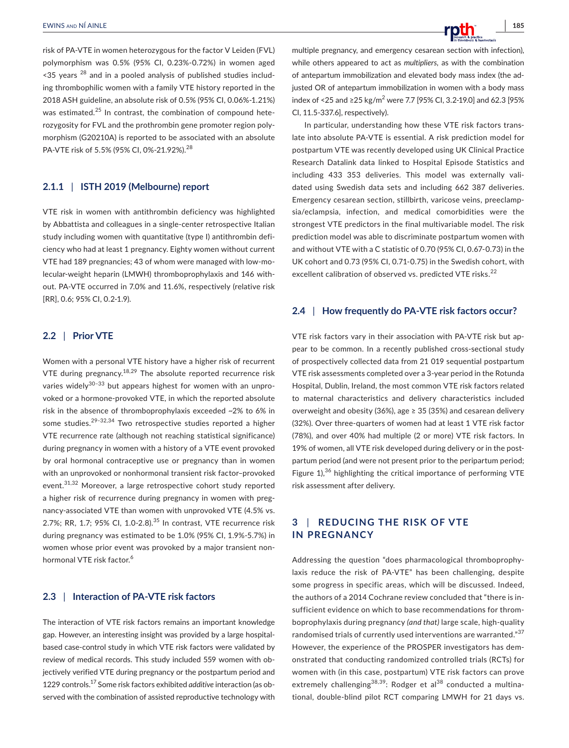risk of PA-VTE in women heterozygous for the factor V Leiden (FVL) polymorphism was 0.5% (95% CI, 0.23%-0.72%) in women aged  $\leq$  35 years  $^{28}$  and in a pooled analysis of published studies including thrombophilic women with a family VTE history reported in the 2018 ASH guideline, an absolute risk of 0.5% (95% CI, 0.06%-1.21%) was estimated.<sup>25</sup> In contrast, the combination of compound heterozygosity for FVL and the prothrombin gene promoter region polymorphism (G20210A) is reported to be associated with an absolute PA-VTE risk of 5.5% (95% CI, 0%-21.92%).<sup>28</sup>

# **2.1.1** | **ISTH 2019 (Melbourne) report**

VTE risk in women with antithrombin deficiency was highlighted by Abbattista and colleagues in a single-center retrospective Italian study including women with quantitative (type I) antithrombin deficiency who had at least 1 pregnancy. Eighty women without current VTE had 189 pregnancies; 43 of whom were managed with low-molecular-weight heparin (LMWH) thromboprophylaxis and 146 without. PA-VTE occurred in 7.0% and 11.6%, respectively (relative risk [RR], 0.6; 95% CI, 0.2-1.9).

# **2.2** | **Prior VTE**

Women with a personal VTE history have a higher risk of recurrent VTE during pregnancy.<sup>18,29</sup> The absolute reported recurrence risk varies widely $30-33$  but appears highest for women with an unprovoked or a hormone-provoked VTE, in which the reported absolute risk in the absence of thromboprophylaxis exceeded ~2% to 6% in some studies.<sup>29-32,34</sup> Two retrospective studies reported a higher VTE recurrence rate (although not reaching statistical significance) during pregnancy in women with a history of a VTE event provoked by oral hormonal contraceptive use or pregnancy than in women with an unprovoked or nonhormonal transient risk factor–provoked event.<sup>31,32</sup> Moreover, a large retrospective cohort study reported a higher risk of recurrence during pregnancy in women with pregnancy-associated VTE than women with unprovoked VTE (4.5% vs. 2.7%; RR, 1.7; 95% Cl, 1.0-2.8).<sup>35</sup> In contrast, VTE recurrence risk during pregnancy was estimated to be 1.0% (95% CI, 1.9%-5.7%) in women whose prior event was provoked by a major transient nonhormonal VTE risk factor.<sup>6</sup>

# **2.3** | **Interaction of PA-VTE risk factors**

The interaction of VTE risk factors remains an important knowledge gap. However, an interesting insight was provided by a large hospitalbased case-control study in which VTE risk factors were validated by review of medical records. This study included 559 women with objectively verified VTE during pregnancy or the postpartum period and 1229 controls.17 Some risk factors exhibited *additive* interaction (as observed with the combination of assisted reproductive technology with multiple pregnancy, and emergency cesarean section with infection), while others appeared to act as *multipliers,* as with the combination of antepartum immobilization and elevated body mass index (the adjusted OR of antepartum immobilization in women with a body mass index of <25 and ≥25 kg/m<sup>2</sup> were 7.7 [95% CI, 3.2-19.0] and 62.3 [95% CI, 11.5-337.6], respectively).

In particular, understanding how these VTE risk factors translate into absolute PA-VTE is essential. A risk prediction model for postpartum VTE was recently developed using UK Clinical Practice Research Datalink data linked to Hospital Episode Statistics and including 433 353 deliveries. This model was externally validated using Swedish data sets and including 662 387 deliveries. Emergency cesarean section, stillbirth, varicose veins, preeclampsia/eclampsia, infection, and medical comorbidities were the strongest VTE predictors in the final multivariable model. The risk prediction model was able to discriminate postpartum women with and without VTE with a C statistic of 0.70 (95% CI, 0.67-0.73) in the UK cohort and 0.73 (95% CI, 0.71-0.75) in the Swedish cohort, with excellent calibration of observed vs. predicted VTE risks.<sup>22</sup>

# **2.4** | **How frequently do PA-VTE risk factors occur?**

VTE risk factors vary in their association with PA-VTE risk but appear to be common. In a recently published cross-sectional study of prospectively collected data from 21 019 sequential postpartum VTE risk assessments completed over a 3-year period in the Rotunda Hospital, Dublin, Ireland, the most common VTE risk factors related to maternal characteristics and delivery characteristics included overweight and obesity (36%), age ≥ 35 (35%) and cesarean delivery (32%). Over three-quarters of women had at least 1 VTE risk factor (78%), and over 40% had multiple (2 or more) VTE risk factors. In 19% of women, all VTE risk developed during delivery or in the postpartum period (and were not present prior to the peripartum period; Figure  $1$ <sup>36</sup> highlighting the critical importance of performing VTE risk assessment after delivery.

# **3** | **REDUCING THE RISK OF VTE IN PREGNANCY**

Addressing the question "does pharmacological thromboprophylaxis reduce the risk of PA-VTE" has been challenging, despite some progress in specific areas, which will be discussed. Indeed, the authors of a 2014 Cochrane review concluded that "there is insufficient evidence on which to base recommendations for thromboprophylaxis during pregnancy *(and that)* large scale, high-quality randomised trials of currently used interventions are warranted."<sup>37</sup> However, the experience of the PROSPER investigators has demonstrated that conducting randomized controlled trials (RCTs) for women with (in this case, postpartum) VTE risk factors can prove extremely challenging<sup>38,39</sup>: Rodger et al<sup>38</sup> conducted a multinational, double-blind pilot RCT comparing LMWH for 21 days vs.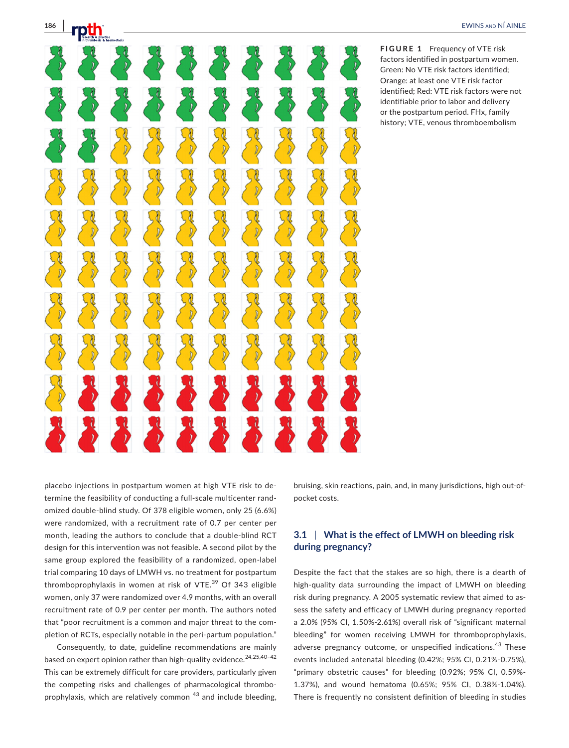**FIGURE 1** Frequency of VTE risk factors identified in postpartum women. Green: No VTE risk factors identified; Orange: at least one VTE risk factor identified; Red: VTE risk factors were not identifiable prior to labor and delivery or the postpartum period. FHx, family history; VTE, venous thromboembolism

placebo injections in postpartum women at high VTE risk to determine the feasibility of conducting a full-scale multicenter randomized double-blind study. Of 378 eligible women, only 25 (6.6%) were randomized, with a recruitment rate of 0.7 per center per month, leading the authors to conclude that a double-blind RCT design for this intervention was not feasible. A second pilot by the same group explored the feasibility of a randomized, open-label trial comparing 10 days of LMWH vs. no treatment for postpartum thromboprophylaxis in women at risk of VTE.<sup>39</sup> Of 343 eligible women, only 37 were randomized over 4.9 months, with an overall recruitment rate of 0.9 per center per month. The authors noted that "poor recruitment is a common and major threat to the completion of RCTs, especially notable in the peri-partum population."

Consequently, to date, guideline recommendations are mainly based on expert opinion rather than high-quality evidence.<sup>24,25,40-42</sup> This can be extremely difficult for care providers, particularly given the competing risks and challenges of pharmacological thromboprophylaxis, which are relatively common <sup>43</sup> and include bleeding, bruising, skin reactions, pain, and, in many jurisdictions, high out-ofpocket costs.

# **3.1** | **What is the effect of LMWH on bleeding risk during pregnancy?**

Despite the fact that the stakes are so high, there is a dearth of high-quality data surrounding the impact of LMWH on bleeding risk during pregnancy. A 2005 systematic review that aimed to assess the safety and efficacy of LMWH during pregnancy reported a 2.0% (95% CI, 1.50%-2.61%) overall risk of "significant maternal bleeding" for women receiving LMWH for thromboprophylaxis, adverse pregnancy outcome, or unspecified indications.<sup>43</sup> These events included antenatal bleeding (0.42%; 95% CI, 0.21%-0.75%), "primary obstetric causes" for bleeding (0.92%; 95% CI, 0.59%- 1.37%), and wound hematoma (0.65%; 95% CI, 0.38%-1.04%). There is frequently no consistent definition of bleeding in studies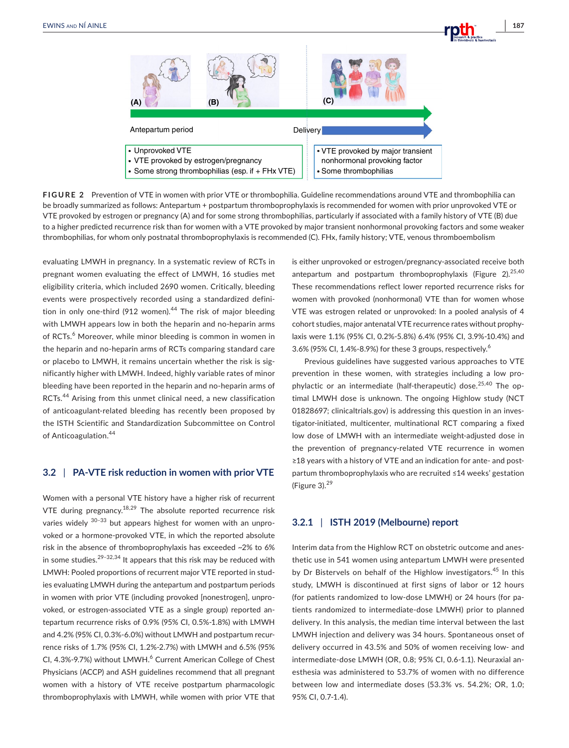

**FIGURE 2** Prevention of VTE in women with prior VTE or thrombophilia. Guideline recommendations around VTE and thrombophilia can be broadly summarized as follows: Antepartum + postpartum thromboprophylaxis is recommended for women with prior unprovoked VTE or VTE provoked by estrogen or pregnancy (A) and for some strong thrombophilias, particularly if associated with a family history of VTE (B) due to a higher predicted recurrence risk than for women with a VTE provoked by major transient nonhormonal provoking factors and some weaker thrombophilias, for whom only postnatal thromboprophylaxis is recommended (C). FHx, family history; VTE, venous thromboembolism

evaluating LMWH in pregnancy. In a systematic review of RCTs in pregnant women evaluating the effect of LMWH, 16 studies met eligibility criteria, which included 2690 women. Critically, bleeding events were prospectively recorded using a standardized definition in only one-third (912 women).<sup>44</sup> The risk of major bleeding with LMWH appears low in both the heparin and no-heparin arms of RCTs.<sup>6</sup> Moreover, while minor bleeding is common in women in the heparin and no-heparin arms of RCTs comparing standard care or placebo to LMWH, it remains uncertain whether the risk is significantly higher with LMWH. Indeed, highly variable rates of minor bleeding have been reported in the heparin and no-heparin arms of RCTs.44 Arising from this unmet clinical need, a new classification of anticoagulant-related bleeding has recently been proposed by the ISTH Scientific and Standardization Subcommittee on Control of Anticoagulation.<sup>44</sup>

#### **3.2** | **PA-VTE risk reduction in women with prior VTE**

Women with a personal VTE history have a higher risk of recurrent VTE during pregnancy.<sup>18,29</sup> The absolute reported recurrence risk varies widely  $30-33$  but appears highest for women with an unprovoked or a hormone-provoked VTE, in which the reported absolute risk in the absence of thromboprophylaxis has exceeded ~2% to 6% in some studies. $29-32,34$  It appears that this risk may be reduced with LMWH: Pooled proportions of recurrent major VTE reported in studies evaluating LMWH during the antepartum and postpartum periods in women with prior VTE (including provoked [nonestrogen], unprovoked, or estrogen-associated VTE as a single group) reported antepartum recurrence risks of 0.9% (95% CI, 0.5%-1.8%) with LMWH and 4.2% (95% CI, 0.3%-6.0%) without LMWH and postpartum recurrence risks of 1.7% (95% CI, 1.2%-2.7%) with LMWH and 6.5% (95% CI, 4.3%-9.7%) without LMWH.<sup>6</sup> Current American College of Chest Physicians (ACCP) and ASH guidelines recommend that all pregnant women with a history of VTE receive postpartum pharmacologic thromboprophylaxis with LMWH, while women with prior VTE that

is either unprovoked or estrogen/pregnancy-associated receive both antepartum and postpartum thromboprophylaxis (Figure 2). $25,40$ These recommendations reflect lower reported recurrence risks for women with provoked (nonhormonal) VTE than for women whose VTE was estrogen related or unprovoked: In a pooled analysis of 4 cohort studies, major antenatal VTE recurrence rates without prophylaxis were 1.1% (95% CI, 0.2%-5.8%) 6.4% (95% CI, 3.9%-10.4%) and 3.6% (95% CI, 1.4%-8.9%) for these 3 groups, respectively.<sup>6</sup>

Previous guidelines have suggested various approaches to VTE prevention in these women, with strategies including a low prophylactic or an intermediate (half-therapeutic) dose.<sup>25,40</sup> The optimal LMWH dose is unknown. The ongoing Highlow study (NCT 01828697; clinicaltrials.gov) is addressing this question in an investigator-initiated, multicenter, multinational RCT comparing a fixed low dose of LMWH with an intermediate weight-adjusted dose in the prevention of pregnancy-related VTE recurrence in women ≥18 years with a history of VTE and an indication for ante- and postpartum thromboprophylaxis who are recruited ≤14 weeks' gestation (Figure 3). $29$ 

# **3.2.1** | **ISTH 2019 (Melbourne) report**

Interim data from the Highlow RCT on obstetric outcome and anesthetic use in 541 women using antepartum LMWH were presented by Dr Bistervels on behalf of the Highlow investigators.<sup>45</sup> In this study, LMWH is discontinued at first signs of labor or 12 hours (for patients randomized to low-dose LMWH) or 24 hours (for patients randomized to intermediate-dose LMWH) prior to planned delivery. In this analysis, the median time interval between the last LMWH injection and delivery was 34 hours. Spontaneous onset of delivery occurred in 43.5% and 50% of women receiving low- and intermediate-dose LMWH (OR, 0.8; 95% CI, 0.6-1.1). Neuraxial anesthesia was administered to 53.7% of women with no difference between low and intermediate doses (53.3% vs. 54.2%; OR, 1.0; 95% CI, 0.7-1.4).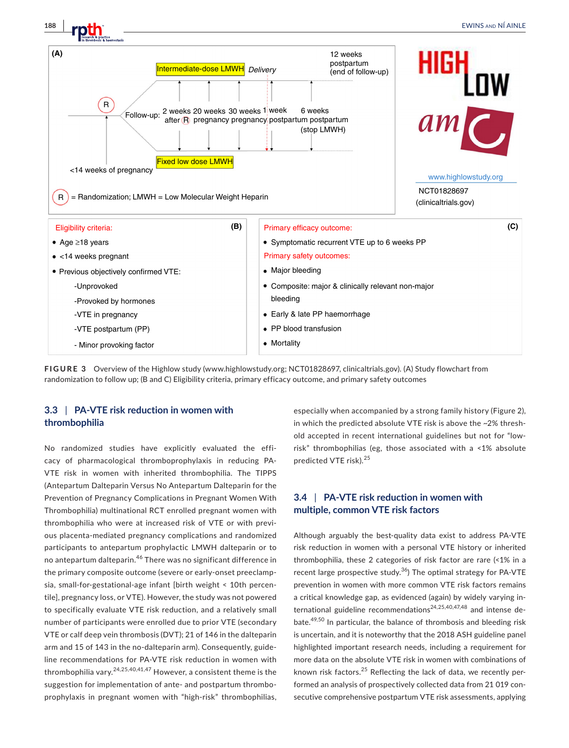

**FIGURE 3**  Overview of the Highlow study (www.highlowstudy.org; NCT01828697, clinicaltrials.gov). (A) Study flowchart from randomization to follow up; (B and C) Eligibility criteria, primary efficacy outcome, and primary safety outcomes

# **3.3** | **PA-VTE risk reduction in women with thrombophilia**

No randomized studies have explicitly evaluated the efficacy of pharmacological thromboprophylaxis in reducing PA-VTE risk in women with inherited thrombophilia. The TIPPS (Antepartum Dalteparin Versus No Antepartum Dalteparin for the Prevention of Pregnancy Complications in Pregnant Women With Thrombophilia) multinational RCT enrolled pregnant women with thrombophilia who were at increased risk of VTE or with previous placenta-mediated pregnancy complications and randomized participants to antepartum prophylactic LMWH dalteparin or to no antepartum dalteparin.46 There was no significant difference in the primary composite outcome (severe or early-onset preeclampsia, small-for-gestational-age infant [birth weight < 10th percentile], pregnancy loss, or VTE). However, the study was not powered to specifically evaluate VTE risk reduction, and a relatively small number of participants were enrolled due to prior VTE (secondary VTE or calf deep vein thrombosis (DVT); 21 of 146 in the dalteparin arm and 15 of 143 in the no-dalteparin arm). Consequently, guideline recommendations for PA-VTE risk reduction in women with thrombophilia vary.  $24,25,40,41,47$  However, a consistent theme is the suggestion for implementation of ante- and postpartum thromboprophylaxis in pregnant women with "high-risk" thrombophilias,

especially when accompanied by a strong family history (Figure 2), in which the predicted absolute VTE risk is above the ~2% threshold accepted in recent international guidelines but not for "lowrisk" thrombophilias (eg, those associated with a <1% absolute predicted VTE risk).<sup>25</sup>

# **3.4** | **PA-VTE risk reduction in women with multiple, common VTE risk factors**

Although arguably the best-quality data exist to address PA-VTE risk reduction in women with a personal VTE history or inherited thrombophilia, these 2 categories of risk factor are rare (<1% in a recent large prospective study. $36$ ) The optimal strategy for PA-VTE prevention in women with more common VTE risk factors remains a critical knowledge gap, as evidenced (again) by widely varying international guideline recommendations<sup>24,25,40,47,48</sup> and intense debate.49,50 In particular, the balance of thrombosis and bleeding risk is uncertain, and it is noteworthy that the 2018 ASH guideline panel highlighted important research needs, including a requirement for more data on the absolute VTE risk in women with combinations of known risk factors. $25$  Reflecting the lack of data, we recently performed an analysis of prospectively collected data from 21 019 consecutive comprehensive postpartum VTE risk assessments, applying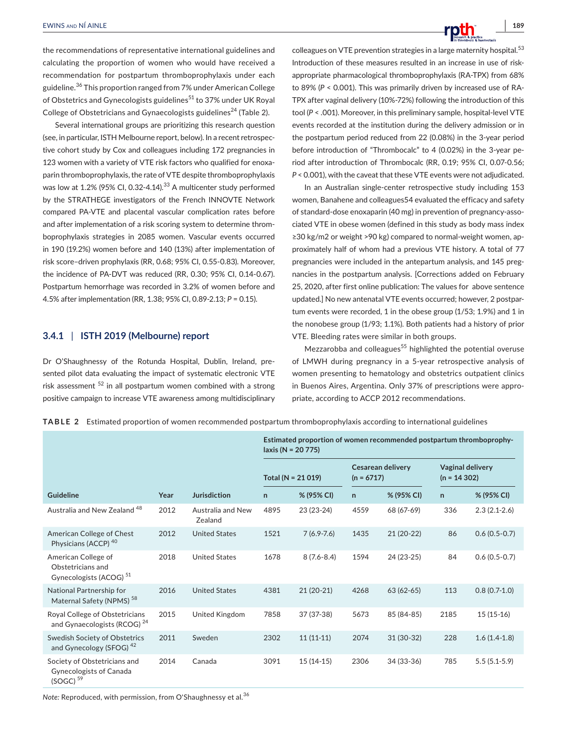the recommendations of representative international guidelines and calculating the proportion of women who would have received a recommendation for postpartum thromboprophylaxis under each guideline.36 This proportion ranged from 7% under American College of Obstetrics and Gynecologists guidelines<sup>51</sup> to 37% under UK Royal College of Obstetricians and Gynaecologists guidelines<sup>24</sup> (Table 2).

Several international groups are prioritizing this research question (see, in particular, ISTH Melbourne report, below). In a recent retrospective cohort study by Cox and colleagues including 172 pregnancies in 123 women with a variety of VTE risk factors who qualified for enoxaparin thromboprophylaxis, the rate of VTE despite thromboprophylaxis was low at 1.2% (95% CI, 0.32-4.14).<sup>33</sup> A multicenter study performed by the STRATHEGE investigators of the French INNOVTE Network compared PA-VTE and placental vascular complication rates before and after implementation of a risk scoring system to determine thromboprophylaxis strategies in 2085 women. Vascular events occurred in 190 (19.2%) women before and 140 (13%) after implementation of risk score–driven prophylaxis (RR, 0.68; 95% CI, 0.55-0.83). Moreover, the incidence of PA-DVT was reduced (RR, 0.30; 95% CI, 0.14-0.67). Postpartum hemorrhage was recorded in 3.2% of women before and 4.5% after implementation (RR, 1.38; 95% CI, 0.89-2.13; *P* = 0.15).

# **3.4.1** | **ISTH 2019 (Melbourne) report**

Dr O'Shaughnessy of the Rotunda Hospital, Dublin, Ireland, presented pilot data evaluating the impact of systematic electronic VTE risk assessment <sup>52</sup> in all postpartum women combined with a strong positive campaign to increase VTE awareness among multidisciplinary colleagues on VTE prevention strategies in a large maternity hospital.<sup>53</sup> Introduction of these measures resulted in an increase in use of riskappropriate pharmacological thromboprophylaxis (RA-TPX) from 68% to 89% (*P* < 0.001). This was primarily driven by increased use of RA-TPX after vaginal delivery (10%-72%) following the introduction of this tool (*P* < .001). Moreover, in this preliminary sample, hospital-level VTE events recorded at the institution during the delivery admission or in the postpartum period reduced from 22 (0.08%) in the 3-year period before introduction of "Thrombocalc" to 4 (0.02%) in the 3-year period after introduction of Thrombocalc (RR, 0.19; 95% CI, 0.07-0.56; *P* < 0.001), with the caveat that these VTE events were not adjudicated.

In an Australian single-center retrospective study including 153 women, Banahene and colleagues54 evaluated the efficacy and safety of standard-dose enoxaparin (40 mg) in prevention of pregnancy-associated VTE in obese women (defined in this study as body mass index ≥30 kg/m2 or weight >90 kg) compared to normal-weight women, approximately half of whom had a previous VTE history. A total of 77 pregnancies were included in the antepartum analysis, and 145 pregnancies in the postpartum analysis. [Corrections added on February 25, 2020, after first online publication: The values for above sentence updated.] No new antenatal VTE events occurred; however, 2 postpartum events were recorded, 1 in the obese group (1/53; 1.9%) and 1 in the nonobese group (1/93; 1.1%). Both patients had a history of prior VTE. Bleeding rates were similar in both groups.

Mezzarobba and colleagues<sup>55</sup> highlighted the potential overuse of LMWH during pregnancy in a 5-year retrospective analysis of women presenting to hematology and obstetrics outpatient clinics in Buenos Aires, Argentina. Only 37% of prescriptions were appropriate, according to ACCP 2012 recommendations.

**TABLE 2** Estimated proportion of women recommended postpartum thromboprophylaxis according to international guidelines

|                                                                                 |      |                              | Estimated proportion of women recommended postpartum thromboprophy-<br>laxis ( $N = 20775$ ) |                |                                          |             |                                          |                |
|---------------------------------------------------------------------------------|------|------------------------------|----------------------------------------------------------------------------------------------|----------------|------------------------------------------|-------------|------------------------------------------|----------------|
|                                                                                 |      |                              | Total ( $N = 21019$ )                                                                        |                | <b>Cesarean delivery</b><br>$(n = 6717)$ |             | <b>Vaginal delivery</b><br>$(n = 14302)$ |                |
| Guideline                                                                       | Year | <b>Jurisdiction</b>          | $\mathsf{n}$                                                                                 | % (95% CI)     | $\mathsf{n}$                             | % (95% CI)  | $\mathsf{n}$                             | % (95% CI)     |
| Australia and New Zealand <sup>48</sup>                                         | 2012 | Australia and New<br>Zealand | 4895                                                                                         | 23 (23-24)     | 4559                                     | 68 (67-69)  | 336                                      | $2.3(2.1-2.6)$ |
| American College of Chest<br>Physicians (ACCP) <sup>40</sup>                    | 2012 | <b>United States</b>         | 1521                                                                                         | $7(6.9 - 7.6)$ | 1435                                     | $21(20-22)$ | 86                                       | $0.6(0.5-0.7)$ |
| American College of<br>Obstetricians and<br>Gynecologists (ACOG) <sup>51</sup>  | 2018 | <b>United States</b>         | 1678                                                                                         | $8(7.6 - 8.4)$ | 1594                                     | 24 (23-25)  | 84                                       | $0.6(0.5-0.7)$ |
| National Partnership for<br>Maternal Safety (NPMS) <sup>58</sup>                | 2016 | <b>United States</b>         | 4381                                                                                         | $21(20-21)$    | 4268                                     | $63(62-65)$ | 113                                      | $0.8(0.7-1.0)$ |
| Royal College of Obstetricians<br>and Gynaecologists (RCOG) <sup>24</sup>       | 2015 | United Kingdom               | 7858                                                                                         | 37 (37-38)     | 5673                                     | 85 (84-85)  | 2185                                     | $15(15-16)$    |
| Swedish Society of Obstetrics<br>and Gynecology (SFOG) <sup>42</sup>            | 2011 | Sweden                       | 2302                                                                                         | $11(11-11)$    | 2074                                     | $31(30-32)$ | 228                                      | $1.6(1.4-1.8)$ |
| Society of Obstetricians and<br>Gynecologists of Canada<br>(SOGC) <sup>59</sup> | 2014 | Canada                       | 3091                                                                                         | $15(14-15)$    | 2306                                     | 34 (33-36)  | 785                                      | $5.5(5.1-5.9)$ |

*Note:* Reproduced, with permission, from O'Shaughnessy et al.<sup>36</sup>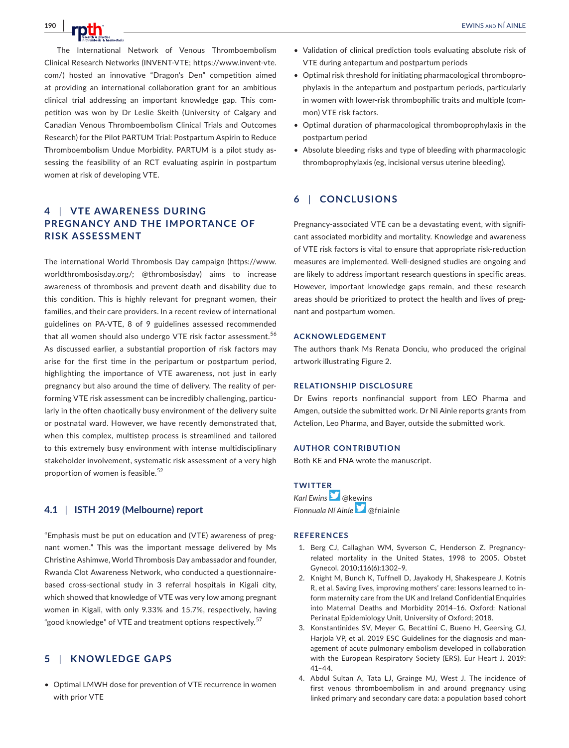**190 |**  EWINS and NÍ AINLE

The International Network of Venous Thromboembolism Clinical Research Networks (INVENT-VTE; https://www.invent-vte. com/) hosted an innovative "Dragon's Den" competition aimed at providing an international collaboration grant for an ambitious clinical trial addressing an important knowledge gap. This competition was won by Dr Leslie Skeith (University of Calgary and Canadian Venous Thromboembolism Clinical Trials and Outcomes Research) for the Pilot PARTUM Trial: Postpartum Aspirin to Reduce Thromboembolism Undue Morbidity. PARTUM is a pilot study assessing the feasibility of an RCT evaluating aspirin in postpartum women at risk of developing VTE.

# **4** | **VTE AWARENESS DURING PREGNANCY AND THE IMPORTANCE OF RISK ASSESSMENT**

The international World Thrombosis Day campaign (https://www. worldthrombosisday.org/; @thrombosisday) aims to increase awareness of thrombosis and prevent death and disability due to this condition. This is highly relevant for pregnant women, their families, and their care providers. In a recent review of international guidelines on PA-VTE, 8 of 9 guidelines assessed recommended that all women should also undergo VTE risk factor assessment.<sup>56</sup> As discussed earlier, a substantial proportion of risk factors may arise for the first time in the peripartum or postpartum period, highlighting the importance of VTE awareness, not just in early pregnancy but also around the time of delivery. The reality of performing VTE risk assessment can be incredibly challenging, particularly in the often chaotically busy environment of the delivery suite or postnatal ward. However, we have recently demonstrated that, when this complex, multistep process is streamlined and tailored to this extremely busy environment with intense multidisciplinary stakeholder involvement, systematic risk assessment of a very high proportion of women is feasible.<sup>52</sup>

# **4.1** | **ISTH 2019 (Melbourne) report**

"Emphasis must be put on education and (VTE) awareness of pregnant women." This was the important message delivered by Ms Christine Ashimwe, World Thrombosis Day ambassador and founder, Rwanda Clot Awareness Network, who conducted a questionnairebased cross-sectional study in 3 referral hospitals in Kigali city, which showed that knowledge of VTE was very low among pregnant women in Kigali, with only 9.33% and 15.7%, respectively, having "good knowledge" of VTE and treatment options respectively.<sup>57</sup>

# **5** | **KNOWLEDGE GAPS**

• Optimal LMWH dose for prevention of VTE recurrence in women with prior VTE

- Validation of clinical prediction tools evaluating absolute risk of VTE during antepartum and postpartum periods
- Optimal risk threshold for initiating pharmacological thromboprophylaxis in the antepartum and postpartum periods, particularly in women with lower-risk thrombophilic traits and multiple (common) VTE risk factors.
- Optimal duration of pharmacological thromboprophylaxis in the postpartum period
- Absolute bleeding risks and type of bleeding with pharmacologic thromboprophylaxis (eg, incisional versus uterine bleeding).

# **6** | **CONCLUSIONS**

Pregnancy-associated VTE can be a devastating event, with significant associated morbidity and mortality. Knowledge and awareness of VTE risk factors is vital to ensure that appropriate risk-reduction measures are implemented. Well-designed studies are ongoing and are likely to address important research questions in specific areas. However, important knowledge gaps remain, and these research areas should be prioritized to protect the health and lives of pregnant and postpartum women.

#### **ACKNOWLEDGEMENT**

The authors thank Ms Renata Donciu, who produced the original artwork illustrating Figure 2.

#### **RELATIONSHIP DISCLOSURE**

Dr Ewins reports nonfinancial support from LEO Pharma and Amgen, outside the submitted work. Dr Ni Ainle reports grants from Actelion, Leo Pharma, and Bayer, outside the submitted work.

#### **AUTHOR CONTRIBUTION**

Both KE and FNA wrote the manuscript.

# **TWITTER**

*Karl Ewins* @kewins *Fionnuala Ní Ainle* @fniainle

#### **REFERENCES**

- 1. Berg CJ, Callaghan WM, Syverson C, Henderson Z. Pregnancyrelated mortality in the United States, 1998 to 2005. Obstet Gynecol. 2010;116(6):1302–9.
- 2. Knight M, Bunch K, Tuffnell D, Jayakody H, Shakespeare J, Kotnis R, et al. Saving lives, improving mothers' care: lessons learned to inform maternity care from the UK and Ireland Confidential Enquiries into Maternal Deaths and Morbidity 2014–16. Oxford: National Perinatal Epidemiology Unit, University of Oxford; 2018.
- 3. Konstantinides SV, Meyer G, Becattini C, Bueno H, Geersing GJ, Harjola VP, et al. 2019 ESC Guidelines for the diagnosis and management of acute pulmonary embolism developed in collaboration with the European Respiratory Society (ERS). Eur Heart J. 2019: 41–44.
- 4. Abdul Sultan A, Tata LJ, Grainge MJ, West J. The incidence of first venous thromboembolism in and around pregnancy using linked primary and secondary care data: a population based cohort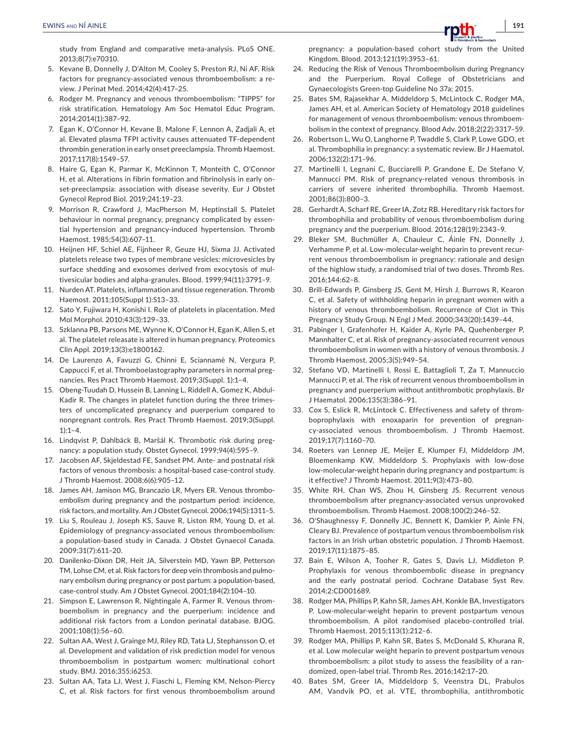study from England and comparative meta-analysis. PLoS ONE. 2013;8(7):e70310.

- 5. Kevane B, Donnelly J, D'Alton M, Cooley S, Preston RJ, Ni AF. Risk factors for pregnancy-associated venous thromboembolism: a review. J Perinat Med. 2014;42(4):417–25.
- 6. Rodger M. Pregnancy and venous thromboembolism: "TIPPS" for risk stratification. Hematology Am Soc Hematol Educ Program. 2014;2014(1):387–92.
- 7. Egan K, O'Connor H, Kevane B, Malone F, Lennon A, Zadjali A, et al. Elevated plasma TFPI activity causes attenuated TF-dependent thrombin generation in early onset preeclampsia. Thromb Haemost. 2017;117(8):1549–57.
- 8. Haire G, Egan K, Parmar K, McKinnon T, Monteith C, O'Connor H, et al. Alterations in fibrin formation and fibrinolysis in early onset-preeclampsia: association with disease severity. Eur J Obstet Gynecol Reprod Biol. 2019;241:19–23.
- 9. Morrison R, Crawford J, MacPherson M, Heptinstall S. Platelet behaviour in normal pregnancy, pregnancy complicated by essential hypertension and pregnancy-induced hypertension. Thromb Haemost. 1985;54(3):607–11.
- 10. Heijnen HF, Schiel AE, Fijnheer R, Geuze HJ, Sixma JJ. Activated platelets release two types of membrane vesicles: microvesicles by surface shedding and exosomes derived from exocytosis of multivesicular bodies and alpha-granules. Blood. 1999;94(11):3791–9.
- 11. Nurden AT. Platelets, inflammation and tissue regeneration. Thromb Haemost. 2011;105(Suppl 1):S13–33.
- 12. Sato Y, Fujiwara H, Konishi I. Role of platelets in placentation. Med Mol Morphol. 2010;43(3):129–33.
- 13. Szklanna PB, Parsons ME, Wynne K, O'Connor H, Egan K, Allen S, et al. The platelet releasate is altered in human pregnancy. Proteomics Clin Appl. 2019;13(3):e1800162.
- 14. De Laurenzo A, Favuzzi G, Chinni E, Sciannamè N, Vergura P, Cappucci F, et al. Thromboelastography parameters in normal pregnancies. Res Pract Thromb Haemost. 2019;3(Suppl. 1):1–4.
- 15. Obeng-Tuudah D, Hussein B, Lanning L, Riddell A, Gomez K, Abdul-Kadir R. The changes in platelet function during the three trimesters of uncomplicated pregnancy and puerperium compared to nonpregnant controls. Res Pract Thromb Haemost. 2019;3(Suppl.  $1$ :1–4.
- 16. Lindqvist P, Dahlbäck B, Marŝál K. Thrombotic risk during pregnancy: a population study. Obstet Gynecol. 1999;94(4):595–9.
- 17. Jacobsen AF, Skjeldestad FE, Sandset PM. Ante- and postnatal risk factors of venous thrombosis: a hospital-based case-control study. J Thromb Haemost. 2008;6(6):905–12.
- 18. James AH, Jamison MG, Brancazio LR, Myers ER. Venous thromboembolism during pregnancy and the postpartum period: incidence, risk factors, and mortality. Am J Obstet Gynecol. 2006;194(5):1311–5.
- 19. Liu S, Rouleau J, Joseph KS, Sauve R, Liston RM, Young D, et al. Epidemiology of pregnancy-associated venous thromboembolism: a population-based study in Canada. J Obstet Gynaecol Canada. 2009;31(7):611–20.
- 20. Danilenko-Dixon DR, Heit JA, Silverstein MD, Yawn BP, Petterson TM, Lohse CM, et al. Risk factors for deep vein thrombosis and pulmonary embolism during pregnancy or post partum: a population-based, case-control study. Am J Obstet Gynecol. 2001;184(2):104–10.
- 21. Simpson E, Lawrenson R, Nightingale A, Farmer R. Venous thromboembolism in pregnancy and the puerperium: incidence and additional risk factors from a London perinatal database. BJOG. 2001;108(1):56–60.
- 22. Sultan AA, West J, Grainge MJ, Riley RD, Tata LJ, Stephansson O, et al. Development and validation of risk prediction model for venous thromboembolism in postpartum women: multinational cohort study. BMJ. 2016;355:i6253.
- 23. Sultan AA, Tata LJ, West J, Fiaschi L, Fleming KM, Nelson-Piercy C, et al. Risk factors for first venous thromboembolism around

pregnancy: a population-based cohort study from the United Kingdom. Blood. 2013;121(19):3953–61.

- 24. Reducing the Risk of Venous Thromboembolism during Pregnancy and the Puerperium. Royal College of Obstetricians and Gynaecologists Green-top Guideline No 37a; 2015.
- 25. Bates SM, Rajasekhar A, Middeldorp S, McLintock C, Rodger MA, James AH, et al. American Society of Hematology 2018 guidelines for management of venous thromboembolism: venous thromboembolism in the context of pregnancy. Blood Adv. 2018;2(22):3317–59.
- 26. Robertson L, Wu O, Langhorne P, Twaddle S, Clark P, Lowe GDO, et al. Thrombophilia in pregnancy: a systematic review. Br J Haematol. 2006;132(2):171–96.
- 27. Martinelli I, Legnani C, Bucciarelli P, Grandone E, De Stefano V, Mannucci PM. Risk of pregnancy-related venous thrombosis in carriers of severe inherited thrombophilia. Thromb Haemost. 2001;86(3):800–3.
- 28. Gerhardt A, Scharf RE, Greer IA, Zotz RB. Hereditary risk factors for thrombophilia and probability of venous thromboembolism during pregnancy and the puerperium. Blood. 2016;128(19):2343–9.
- 29. Bleker SM, Buchmüller A, Chauleur C, Áinle FN, Donnelly J, Verhamme P, et al. Low-molecular-weight heparin to prevent recurrent venous thromboembolism in pregnancy: rationale and design of the highlow study, a randomised trial of two doses. Thromb Res. 2016;144:62–8.
- 30. Brill-Edwards P, Ginsberg JS, Gent M, Hirsh J, Burrows R, Kearon C, et al. Safety of withholding heparin in pregnant women with a history of venous thromboembolism. Recurrence of Clot in This Pregnancy Study Group. N Engl J Med. 2000;343(20):1439–44.
- 31. Pabinger I, Grafenhofer H, Kaider A, Kyrle PA, Quehenberger P, Mannhalter C, et al. Risk of pregnancy-associated recurrent venous thromboembolism in women with a history of venous thrombosis. J Thromb Haemost. 2005;3(5):949–54.
- 32. Stefano VD, Martinelli I, Rossi E, Battaglioli T, Za T, Mannuccio Mannucci P, et al. The risk of recurrent venous thromboembolism in pregnancy and puerperium without antithrombotic prophylaxis. Br J Haematol. 2006;135(3):386–91.
- 33. Cox S, Eslick R, McLintock C. Effectiveness and safety of thromboprophylaxis with enoxaparin for prevention of pregnancy-associated venous thromboembolism. J Thromb Haemost. 2019;17(7):1160–70.
- 34. Roeters van Lennep JE, Meijer E, Klumper FJ, Middeldorp JM, Bloemenkamp KW, Middeldorp S. Prophylaxis with low-dose low-molecular-weight heparin during pregnancy and postpartum: is it effective? J Thromb Haemost. 2011;9(3):473–80.
- 35. White RH, Chan WS, Zhou H, Ginsberg JS. Recurrent venous thromboembolism after pregnancy-associated versus unprovoked thromboembolism. Thromb Haemost. 2008;100(2):246–52.
- 36. O'Shaughnessy F, Donnelly JC, Bennett K, Damkier P, Ainle FN, Cleary BJ. Prevalence of postpartum venous thromboembolism risk factors in an Irish urban obstetric population. J Thromb Haemost. 2019;17(11):1875–85.
- 37. Bain E, Wilson A, Tooher R, Gates S, Davis LJ, Middleton P. Prophylaxis for venous thromboembolic disease in pregnancy and the early postnatal period. Cochrane Database Syst Rev. 2014;2:CD001689.
- 38. Rodger MA, Phillips P, Kahn SR, James AH, Konkle BA, Investigators P. Low-molecular-weight heparin to prevent postpartum venous thromboembolism. A pilot randomised placebo-controlled trial. Thromb Haemost. 2015;113(1):212–6.
- 39. Rodger MA, Phillips P, Kahn SR, Bates S, McDonald S, Khurana R, et al. Low molecular weight heparin to prevent postpartum venous thromboembolism: a pilot study to assess the feasibility of a randomized, open-label trial. Thromb Res. 2016;142:17–20.
- 40. Bates SM, Greer IA, Middeldorp S, Veenstra DL, Prabulos AM, Vandvik PO, et al. VTE, thrombophilia, antithrombotic